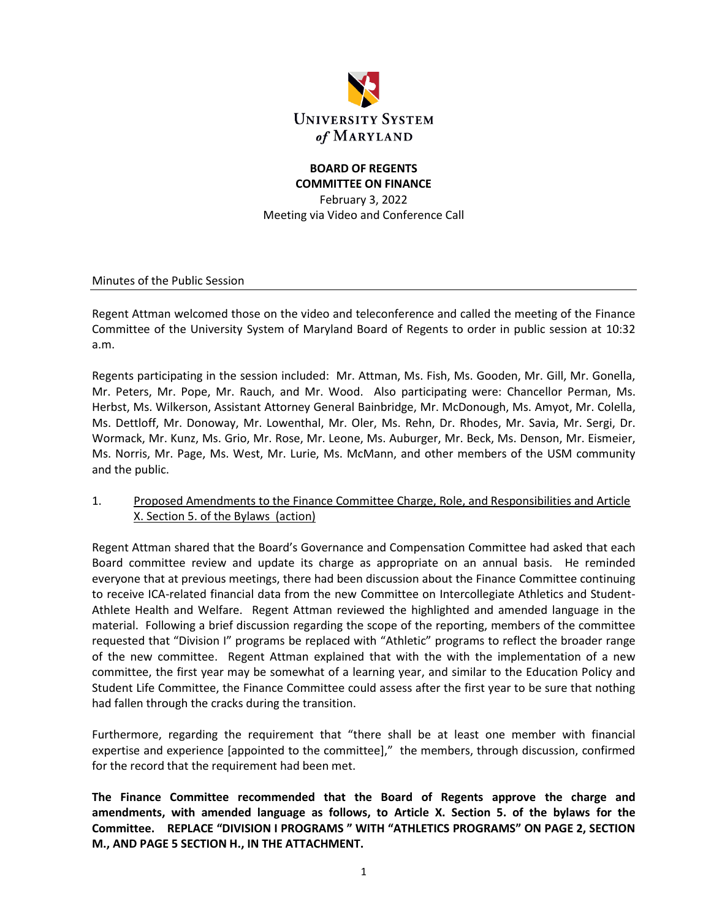

# **BOARD OF REGENTS COMMITTEE ON FINANCE**

February 3, 2022 Meeting via Video and Conference Call

Minutes of the Public Session

Regent Attman welcomed those on the video and teleconference and called the meeting of the Finance Committee of the University System of Maryland Board of Regents to order in public session at 10:32 a.m.

Regents participating in the session included: Mr. Attman, Ms. Fish, Ms. Gooden, Mr. Gill, Mr. Gonella, Mr. Peters, Mr. Pope, Mr. Rauch, and Mr. Wood. Also participating were: Chancellor Perman, Ms. Herbst, Ms. Wilkerson, Assistant Attorney General Bainbridge, Mr. McDonough, Ms. Amyot, Mr. Colella, Ms. Dettloff, Mr. Donoway, Mr. Lowenthal, Mr. Oler, Ms. Rehn, Dr. Rhodes, Mr. Savia, Mr. Sergi, Dr. Wormack, Mr. Kunz, Ms. Grio, Mr. Rose, Mr. Leone, Ms. Auburger, Mr. Beck, Ms. Denson, Mr. Eismeier, Ms. Norris, Mr. Page, Ms. West, Mr. Lurie, Ms. McMann, and other members of the USM community and the public.

1. Proposed Amendments to the Finance Committee Charge, Role, and Responsibilities and Article X. Section 5. of the Bylaws (action)

Regent Attman shared that the Board's Governance and Compensation Committee had asked that each Board committee review and update its charge as appropriate on an annual basis. He reminded everyone that at previous meetings, there had been discussion about the Finance Committee continuing to receive ICA-related financial data from the new Committee on Intercollegiate Athletics and Student-Athlete Health and Welfare. Regent Attman reviewed the highlighted and amended language in the material. Following a brief discussion regarding the scope of the reporting, members of the committee requested that "Division I" programs be replaced with "Athletic" programs to reflect the broader range of the new committee. Regent Attman explained that with the with the implementation of a new committee, the first year may be somewhat of a learning year, and similar to the Education Policy and Student Life Committee, the Finance Committee could assess after the first year to be sure that nothing had fallen through the cracks during the transition.

Furthermore, regarding the requirement that "there shall be at least one member with financial expertise and experience [appointed to the committee]," the members, through discussion, confirmed for the record that the requirement had been met.

**The Finance Committee recommended that the Board of Regents approve the charge and amendments, with amended language as follows, to Article X. Section 5. of the bylaws for the Committee. REPLACE "DIVISION I PROGRAMS " WITH "ATHLETICS PROGRAMS" ON PAGE 2, SECTION M., AND PAGE 5 SECTION H., IN THE ATTACHMENT.**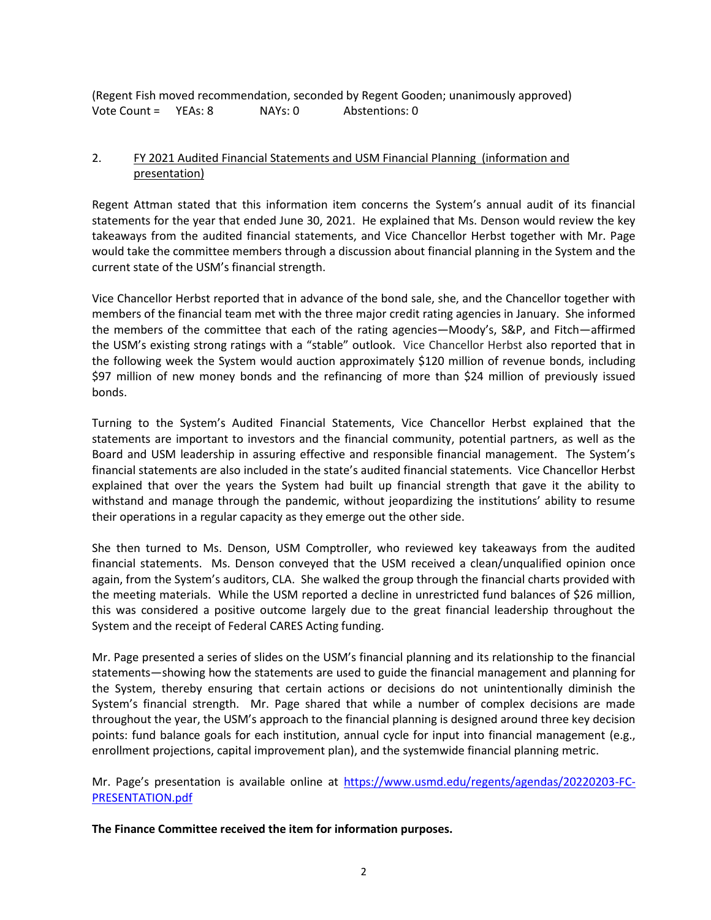(Regent Fish moved recommendation, seconded by Regent Gooden; unanimously approved) Vote Count = YEAs: 8 NAYs: 0 Abstentions: 0

## 2. FY 2021 Audited Financial Statements and USM Financial Planning (information and presentation)

Regent Attman stated that this information item concerns the System's annual audit of its financial statements for the year that ended June 30, 2021. He explained that Ms. Denson would review the key takeaways from the audited financial statements, and Vice Chancellor Herbst together with Mr. Page would take the committee members through a discussion about financial planning in the System and the current state of the USM's financial strength.

Vice Chancellor Herbst reported that in advance of the bond sale, she, and the Chancellor together with members of the financial team met with the three major credit rating agencies in January. She informed the members of the committee that each of the rating agencies—Moody's, S&P, and Fitch—affirmed the USM's existing strong ratings with a "stable" outlook. Vice Chancellor Herbst also reported that in the following week the System would auction approximately \$120 million of revenue bonds, including \$97 million of new money bonds and the refinancing of more than \$24 million of previously issued bonds.

Turning to the System's Audited Financial Statements, Vice Chancellor Herbst explained that the statements are important to investors and the financial community, potential partners, as well as the Board and USM leadership in assuring effective and responsible financial management. The System's financial statements are also included in the state's audited financial statements. Vice Chancellor Herbst explained that over the years the System had built up financial strength that gave it the ability to withstand and manage through the pandemic, without jeopardizing the institutions' ability to resume their operations in a regular capacity as they emerge out the other side.

She then turned to Ms. Denson, USM Comptroller, who reviewed key takeaways from the audited financial statements. Ms. Denson conveyed that the USM received a clean/unqualified opinion once again, from the System's auditors, CLA. She walked the group through the financial charts provided with the meeting materials. While the USM reported a decline in unrestricted fund balances of \$26 million, this was considered a positive outcome largely due to the great financial leadership throughout the System and the receipt of Federal CARES Acting funding.

Mr. Page presented a series of slides on the USM's financial planning and its relationship to the financial statements—showing how the statements are used to guide the financial management and planning for the System, thereby ensuring that certain actions or decisions do not unintentionally diminish the System's financial strength. Mr. Page shared that while a number of complex decisions are made throughout the year, the USM's approach to the financial planning is designed around three key decision points: fund balance goals for each institution, annual cycle for input into financial management (e.g., enrollment projections, capital improvement plan), and the systemwide financial planning metric.

Mr. Page's presentation is available online at [https://www.usmd.edu/regents/agendas/20220203-FC-](https://www.usmd.edu/regents/agendas/20220203-FC-PRESENTATION.pdf)[PRESENTATION.pdf](https://www.usmd.edu/regents/agendas/20220203-FC-PRESENTATION.pdf)

**The Finance Committee received the item for information purposes.**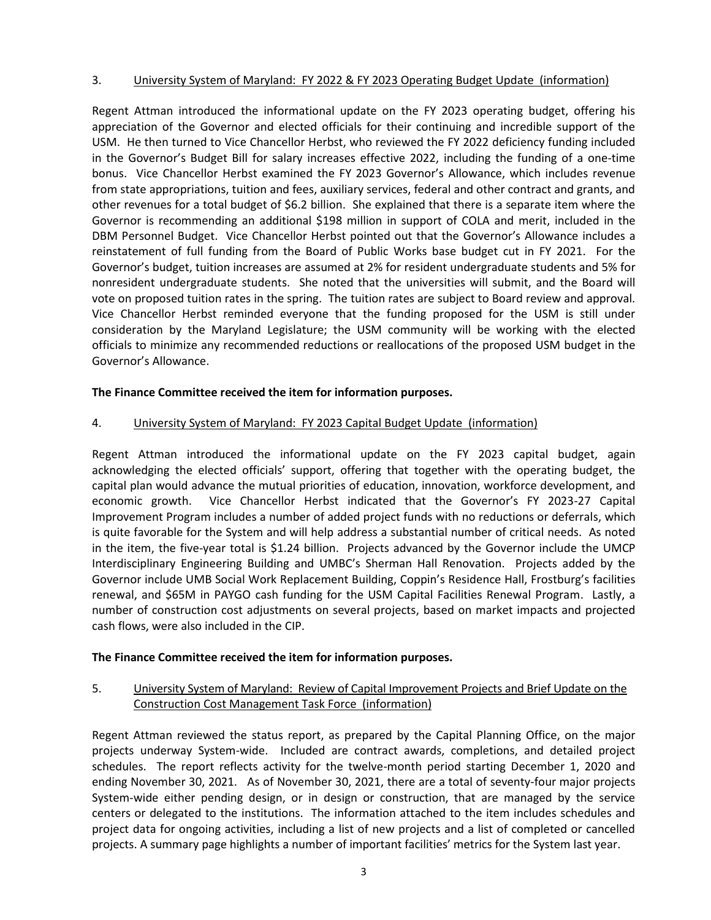## 3. University System of Maryland: FY 2022 & FY 2023 Operating Budget Update (information)

Regent Attman introduced the informational update on the FY 2023 operating budget, offering his appreciation of the Governor and elected officials for their continuing and incredible support of the USM. He then turned to Vice Chancellor Herbst, who reviewed the FY 2022 deficiency funding included in the Governor's Budget Bill for salary increases effective 2022, including the funding of a one-time bonus. Vice Chancellor Herbst examined the FY 2023 Governor's Allowance, which includes revenue from state appropriations, tuition and fees, auxiliary services, federal and other contract and grants, and other revenues for a total budget of \$6.2 billion. She explained that there is a separate item where the Governor is recommending an additional \$198 million in support of COLA and merit, included in the DBM Personnel Budget. Vice Chancellor Herbst pointed out that the Governor's Allowance includes a reinstatement of full funding from the Board of Public Works base budget cut in FY 2021. For the Governor's budget, tuition increases are assumed at 2% for resident undergraduate students and 5% for nonresident undergraduate students. She noted that the universities will submit, and the Board will vote on proposed tuition rates in the spring. The tuition rates are subject to Board review and approval. Vice Chancellor Herbst reminded everyone that the funding proposed for the USM is still under consideration by the Maryland Legislature; the USM community will be working with the elected officials to minimize any recommended reductions or reallocations of the proposed USM budget in the Governor's Allowance.

## **The Finance Committee received the item for information purposes.**

# 4. University System of Maryland: FY 2023 Capital Budget Update (information)

Regent Attman introduced the informational update on the FY 2023 capital budget, again acknowledging the elected officials' support, offering that together with the operating budget, the capital plan would advance the mutual priorities of education, innovation, workforce development, and economic growth. Vice Chancellor Herbst indicated that the Governor's FY 2023-27 Capital Improvement Program includes a number of added project funds with no reductions or deferrals, which is quite favorable for the System and will help address a substantial number of critical needs. As noted in the item, the five-year total is \$1.24 billion. Projects advanced by the Governor include the UMCP Interdisciplinary Engineering Building and UMBC's Sherman Hall Renovation. Projects added by the Governor include UMB Social Work Replacement Building, Coppin's Residence Hall, Frostburg's facilities renewal, and \$65M in PAYGO cash funding for the USM Capital Facilities Renewal Program. Lastly, a number of construction cost adjustments on several projects, based on market impacts and projected cash flows, were also included in the CIP.

#### **The Finance Committee received the item for information purposes.**

# 5. University System of Maryland: Review of Capital Improvement Projects and Brief Update on the Construction Cost Management Task Force (information)

Regent Attman reviewed the status report, as prepared by the Capital Planning Office, on the major projects underway System-wide. Included are contract awards, completions, and detailed project schedules. The report reflects activity for the twelve-month period starting December 1, 2020 and ending November 30, 2021. As of November 30, 2021, there are a total of seventy-four major projects System-wide either pending design, or in design or construction, that are managed by the service centers or delegated to the institutions. The information attached to the item includes schedules and project data for ongoing activities, including a list of new projects and a list of completed or cancelled projects. A summary page highlights a number of important facilities' metrics for the System last year.